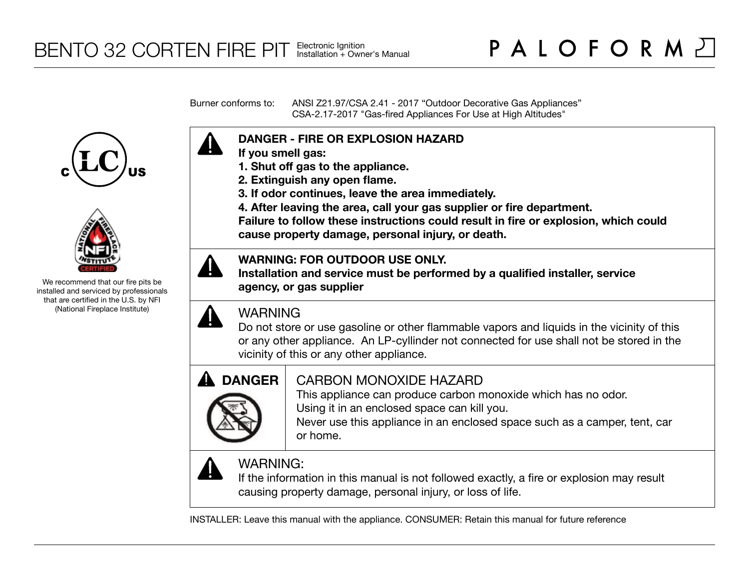Burner conforms to: ANSI Z21.97/CSA 2.41 - 2017 "Outdoor Decorative Gas Appliances" CSA-2.17-2017 "Gas-fired Appliances For Use at High Altitudes"





We recommend that our fire pits be installed and serviced by professionals that are certified in the U.S. by NFI (National Fireplace Institute)



- **If you smell gas:**
- **1. Shut off gas to the appliance.**
- **2. Extinguish any open flame.**
- **3. If odor continues, leave the area immediately.**
- **4. After leaving the area, call your gas supplier or fire department.**

**Failure to follow these instructions could result in fire or explosion, which could cause property damage, personal injury, or death.**

## **WARNING: FOR OUTDOOR USE ONLY.**

**Installation and service must be performed by a qualified installer, service agency, or gas supplier**



## WARNING

Do not store or use gasoline or other flammable vapors and liquids in the vicinity of this or any other appliance. An LP-cyllinder not connected for use shall not be stored in the vicinity of this or any other appliance.



## CARBON MONOXIDE HAZARD

This appliance can produce carbon monoxide which has no odor. Using it in an enclosed space can kill you.

Never use this appliance in an enclosed space such as a camper, tent, car or home.



# WARNING:

If the information in this manual is not followed exactly, a fire or explosion may result causing property damage, personal injury, or loss of life.

INSTALLER: Leave this manual with the appliance. CONSUMER: Retain this manual for future reference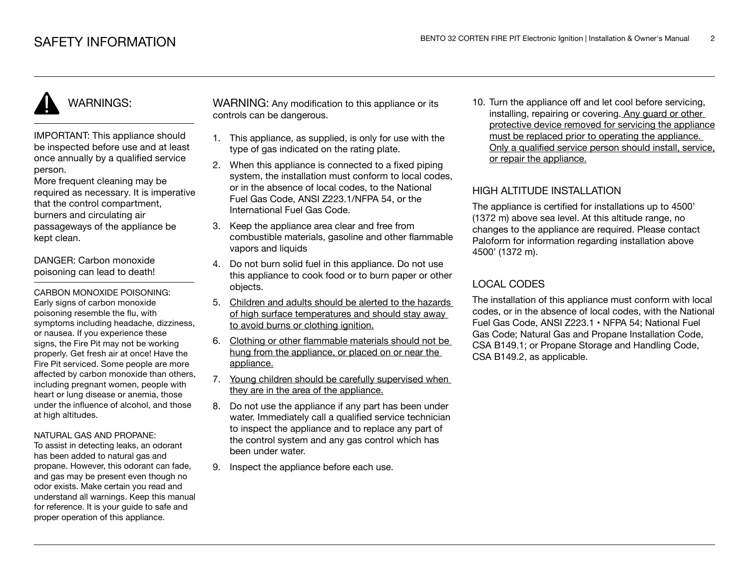# WARNINGS:

IMPORTANT: This appliance should be inspected before use and at least once annually by a qualified service person.

More frequent cleaning may be required as necessary. It is imperative that the control compartment, burners and circulating air passageways of the appliance be kept clean.

DANGER: Carbon monoxide poisoning can lead to death!

CARBON MONOXIDE POISONING: Early signs of carbon monoxide poisoning resemble the flu, with symptoms including headache, dizziness, or nausea. If you experience these signs, the Fire Pit may not be working properly. Get fresh air at once! Have the Fire Pit serviced. Some people are more affected by carbon monoxide than others, including pregnant women, people with heart or lung disease or anemia, those under the influence of alcohol, and those at high altitudes.

#### NATURAL GAS AND PROPANE:

To assist in detecting leaks, an odorant has been added to natural gas and propane. However, this odorant can fade, and gas may be present even though no odor exists. Make certain you read and understand all warnings. Keep this manual for reference. It is your guide to safe and proper operation of this appliance.

WARNING: Any modification to this appliance or its controls can be dangerous.

- 1. This appliance, as supplied, is only for use with the type of gas indicated on the rating plate.
- 2. When this appliance is connected to a fixed piping system, the installation must conform to local codes. or in the absence of local codes, to the National Fuel Gas Code, ANSI Z223.1/NFPA 54, or the International Fuel Gas Code.
- 3. Keep the appliance area clear and free from combustible materials, gasoline and other flammable vapors and liquids
- 4. Do not burn solid fuel in this appliance. Do not use this appliance to cook food or to burn paper or other objects.
- 5. Children and adults should be alerted to the hazards of high surface temperatures and should stay away to avoid burns or clothing ignition.
- 6. Clothing or other flammable materials should not be hung from the appliance, or placed on or near the appliance.
- 7. Young children should be carefully supervised when they are in the area of the appliance.
- 8. Do not use the appliance if any part has been under water. Immediately call a qualified service technician to inspect the appliance and to replace any part of the control system and any gas control which has been under water.
- 9. Inspect the appliance before each use.

10. Turn the appliance off and let cool before servicing, installing, repairing or covering. Any guard or other protective device removed for servicing the appliance must be replaced prior to operating the appliance. Only a qualified service person should install, service, or repair the appliance.

## HIGH ALTITUDE INSTALLATION

The appliance is certified for installations up to 4500' (1372 m) above sea level. At this altitude range, no changes to the appliance are required. Please contact Paloform for information regarding installation above 4500' (1372 m).

## LOCAL CODES

The installation of this appliance must conform with local codes, or in the absence of local codes, with the National Fuel Gas Code, ANSI Z223.1 • NFPA 54; National Fuel Gas Code; Natural Gas and Propane Installation Code, CSA B149.1; or Propane Storage and Handling Code, CSA B149.2, as applicable.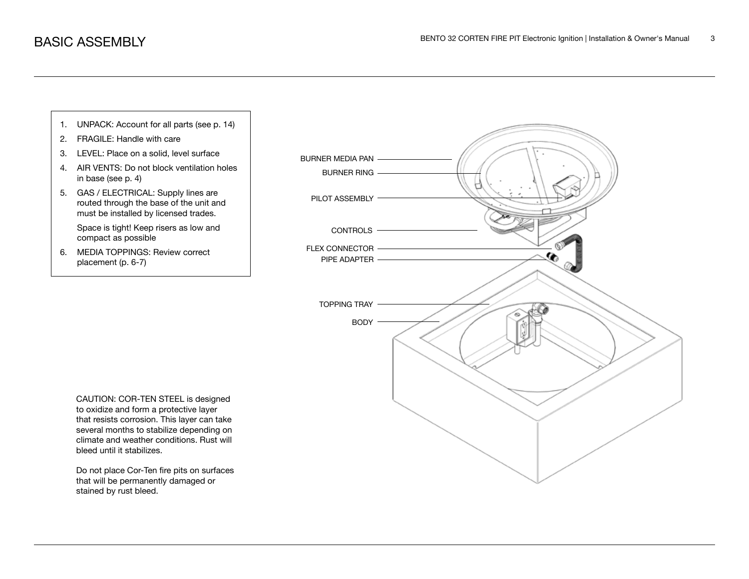

that will be permanently damaged or stained by rust bleed.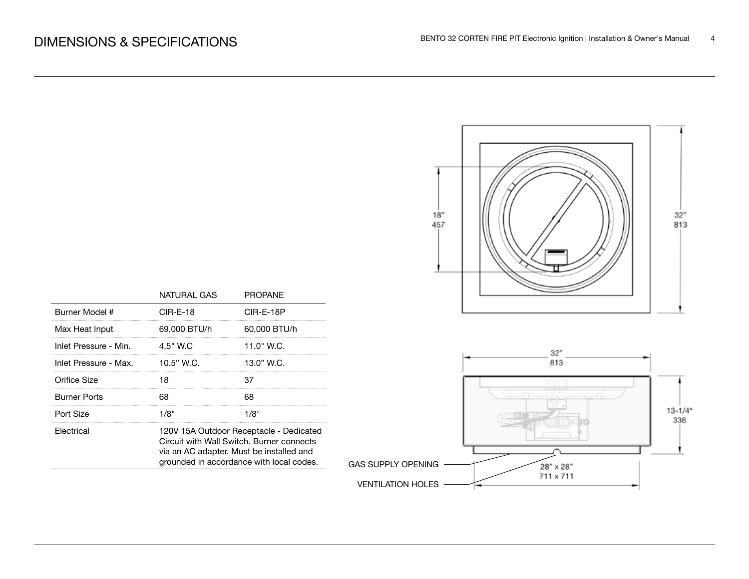

|                       | NATURAL GAS                                                                                                                                                                  | PROPANE      |  |
|-----------------------|------------------------------------------------------------------------------------------------------------------------------------------------------------------------------|--------------|--|
| Burner Model #        | CIR-E-18                                                                                                                                                                     | CIR-E-18P    |  |
| Max Heat Input        | 69,000 BTU/h                                                                                                                                                                 | 60,000 BTU/h |  |
| Inlet Pressure - Min. | $4.5"$ W.C                                                                                                                                                                   | 11.0" W.C.   |  |
| Inlet Pressure - Max. | $10.5"$ W.C.                                                                                                                                                                 | 13.0" W.C.   |  |
| Orifice Size          | 18                                                                                                                                                                           | 37           |  |
| <b>Burner Ports</b>   | 68                                                                                                                                                                           | 68           |  |
| Port Size             | 1/8"                                                                                                                                                                         | 1/8"         |  |
| Electrical            | 120V 15A Outdoor Receptacle - Dedicated<br>Circuit with Wall Switch, Burner connects<br>via an AC adapter. Must be installed and<br>grounded in accordance with local codes. |              |  |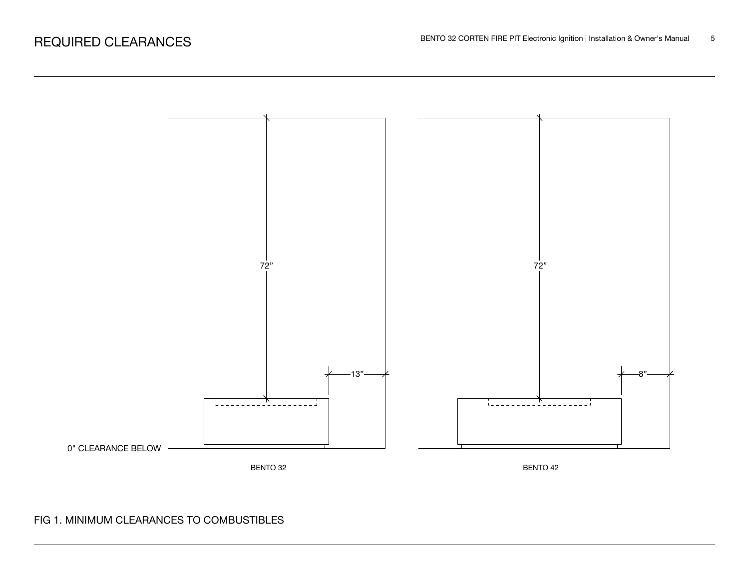

## FIG 1. MINIMUM CLEARANCES TO COMBUSTIBLES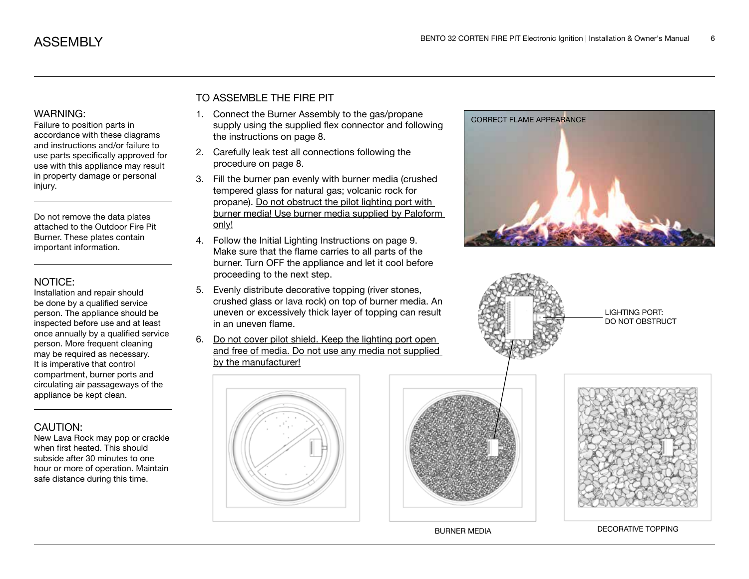#### WARNING:

Failure to position parts in accordance with these diagrams and instructions and/or failure to use parts specifically approved for use with this appliance may result in property damage or personal injury.

Do not remove the data plates attached to the Outdoor Fire Pit Burner. These plates contain important information.

#### NOTICE:

Installation and repair should be done by a qualified service person. The appliance should be inspected before use and at least once annually by a qualified service person. More frequent cleaning may be required as necessary. It is imperative that control compartment, burner ports and circulating air passageways of the appliance be kept clean.

## CAUTION:

New Lava Rock may pop or crackle when first heated. This should subside after 30 minutes to one hour or more of operation. Maintain safe distance during this time.

## TO ASSEMBLE THE FIRE PIT

- 1. Connect the Burner Assembly to the gas/propane supply using the supplied flex connector and following the instructions on page 8.
- 2. Carefully leak test all connections following the procedure on page 8.
- 3. Fill the burner pan evenly with burner media (crushed tempered glass for natural gas; volcanic rock for propane). Do not obstruct the pilot lighting port with burner media! Use burner media supplied by Paloform only!
- 4. Follow the Initial Lighting Instructions on page 9. Make sure that the flame carries to all parts of the burner. Turn OFF the appliance and let it cool before proceeding to the next step.
- 5. Evenly distribute decorative topping (river stones, crushed glass or lava rock) on top of burner media. An uneven or excessively thick layer of topping can result in an uneven flame.
- 6. Do not cover pilot shield. Keep the lighting port open and free of media. Do not use any media not supplied by the manufacturer!









LIGHTING PORT: DO NOT OBSTRUCT



BURNER MEDIA DECORATIVE TOPPING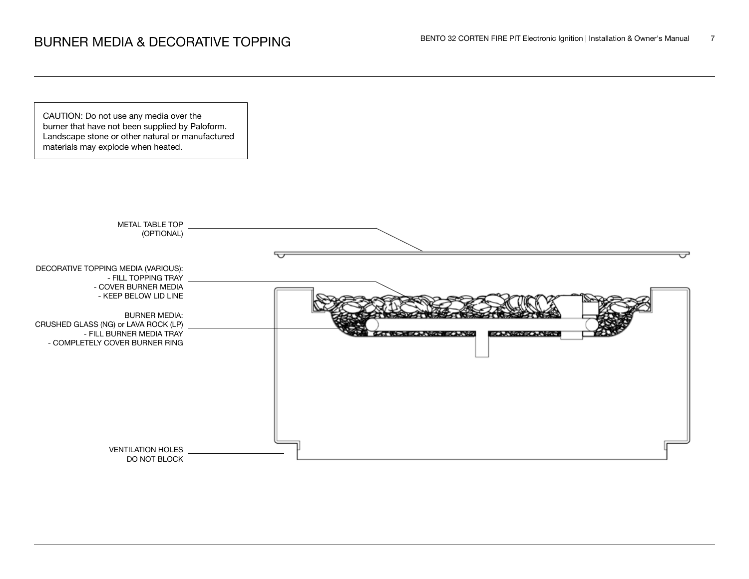CAUTION: Do not use any media over the burner that have not been supplied by Paloform. Landscape stone or other natural or manufactured materials may explode when heated.

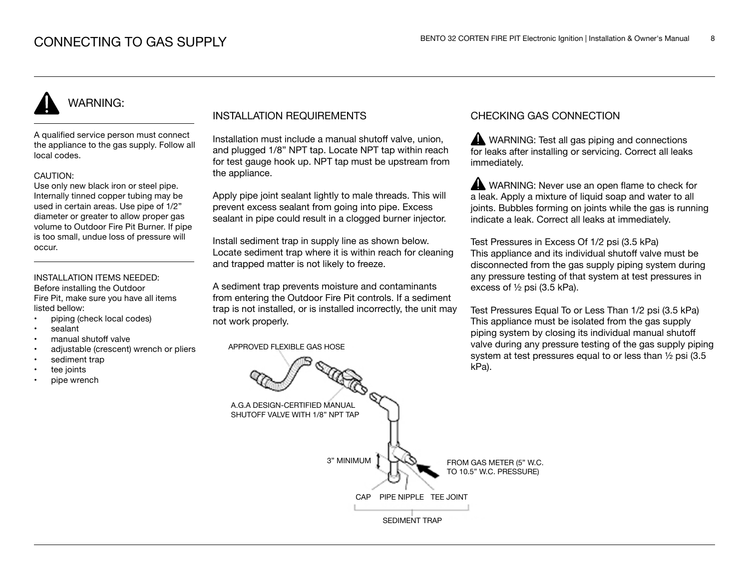# WARNING:

A qualified service person must connect the appliance to the gas supply. Follow all local codes.

#### CAUTION:

Use only new black iron or steel pipe. Internally tinned copper tubing may be used in certain areas. Use pipe of 1/2" diameter or greater to allow proper gas volume to Outdoor Fire Pit Burner. If pipe is too small, undue loss of pressure will occur.

### INSTALLATION ITEMS NEEDED:

Before installing the Outdoor Fire Pit, make sure you have all items listed bellow:

- piping (check local codes)
- sealant
- manual shutoff valve
- adjustable (crescent) wrench or pliers
- sediment trap
- tee joints
- pipe wrench

## INSTALLATION REQUIREMENTS

Installation must include a manual shutoff valve, union, and plugged 1/8" NPT tap. Locate NPT tap within reach for test gauge hook up. NPT tap must be upstream from the appliance.

Apply pipe joint sealant lightly to male threads. This will prevent excess sealant from going into pipe. Excess sealant in pipe could result in a clogged burner injector.

Install sediment trap in supply line as shown below. Locate sediment trap where it is within reach for cleaning and trapped matter is not likely to freeze.

A sediment trap prevents moisture and contaminants from entering the Outdoor Fire Pit controls. If a sediment trap is not installed, or is installed incorrectly, the unit may not work properly.

APPROVED FLEXIBLE GAS HOSE

## CHECKING GAS CONNECTION

WARNING: Test all gas piping and connections for leaks after installing or servicing. Correct all leaks immediately.

WARNING: Never use an open flame to check for a leak. Apply a mixture of liquid soap and water to all joints. Bubbles forming on joints while the gas is running indicate a leak. Correct all leaks at immediately.

Test Pressures in Excess Of 1/2 psi (3.5 kPa) This appliance and its individual shutoff valve must be disconnected from the gas supply piping system during any pressure testing of that system at test pressures in excess of ½ psi (3.5 kPa).

Test Pressures Equal To or Less Than 1/2 psi (3.5 kPa) This appliance must be isolated from the gas supply piping system by closing its individual manual shutoff valve during any pressure testing of the gas supply piping system at test pressures equal to or less than ½ psi (3.5 kPa).

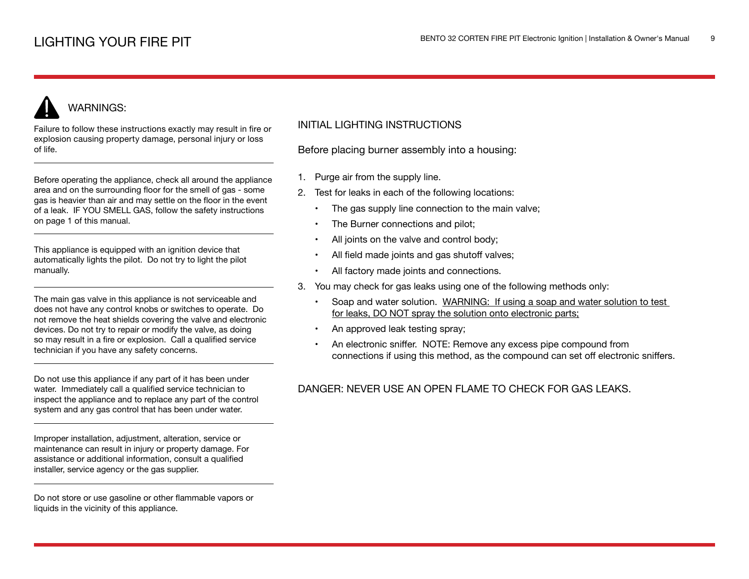# WARNINGS:

Failure to follow these instructions exactly may result in fire or explosion causing property damage, personal injury or loss of life.

Before operating the appliance, check all around the appliance area and on the surrounding floor for the smell of gas - some gas is heavier than air and may settle on the floor in the event of a leak. IF YOU SMELL GAS, follow the safety instructions on page 1 of this manual.

This appliance is equipped with an ignition device that automatically lights the pilot. Do not try to light the pilot manually.

The main gas valve in this appliance is not serviceable and does not have any control knobs or switches to operate. Do not remove the heat shields covering the valve and electronic devices. Do not try to repair or modify the valve, as doing so may result in a fire or explosion. Call a qualified service technician if you have any safety concerns.

Do not use this appliance if any part of it has been under water. Immediately call a qualified service technician to inspect the appliance and to replace any part of the control system and any gas control that has been under water.

Improper installation, adjustment, alteration, service or maintenance can result in injury or property damage. For assistance or additional information, consult a qualified installer, service agency or the gas supplier.

Do not store or use gasoline or other flammable vapors or liquids in the vicinity of this appliance.

## INITIAL LIGHTING INSTRUCTIONS

Before placing burner assembly into a housing:

- 1. Purge air from the supply line.
- 2. Test for leaks in each of the following locations:
	- The gas supply line connection to the main valve;
	- The Burner connections and pilot;
	- All joints on the valve and control body;
	- All field made joints and gas shutoff valves;
	- All factory made joints and connections.
- 3. You may check for gas leaks using one of the following methods only:
	- Soap and water solution. WARNING: If using a soap and water solution to test for leaks, DO NOT spray the solution onto electronic parts;
	- An approved leak testing spray;
	- An electronic sniffer. NOTE: Remove any excess pipe compound from connections if using this method, as the compound can set off electronic sniffers.

## DANGER: NEVER USE AN OPEN FLAME TO CHECK FOR GAS LEAKS.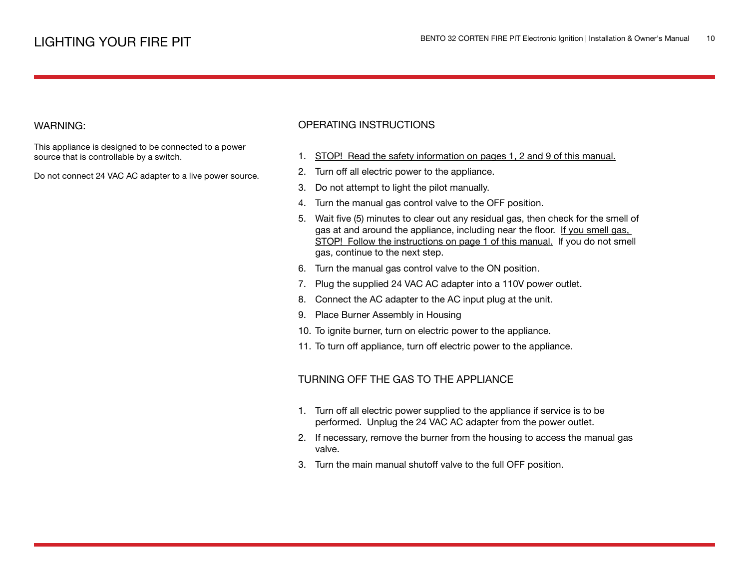#### WARNING:

This appliance is designed to be connected to a power source that is controllable by a switch.

Do not connect 24 VAC AC adapter to a live power source.

## OPERATING INSTRUCTIONS

- 1. STOP! Read the safety information on pages 1, 2 and 9 of this manual.
- 2. Turn off all electric power to the appliance.
- 3. Do not attempt to light the pilot manually.
- 4. Turn the manual gas control valve to the OFF position.
- 5. Wait five (5) minutes to clear out any residual gas, then check for the smell of gas at and around the appliance, including near the floor. If you smell gas, STOP! Follow the instructions on page 1 of this manual. If you do not smell gas, continue to the next step.
- 6. Turn the manual gas control valve to the ON position.
- 7. Plug the supplied 24 VAC AC adapter into a 110V power outlet.
- 8. Connect the AC adapter to the AC input plug at the unit.
- 9. Place Burner Assembly in Housing
- 10. To ignite burner, turn on electric power to the appliance.
- 11. To turn off appliance, turn off electric power to the appliance.

### TURNING OFF THE GAS TO THE APPLIANCE

- 1. Turn off all electric power supplied to the appliance if service is to be performed. Unplug the 24 VAC AC adapter from the power outlet.
- 2. If necessary, remove the burner from the housing to access the manual gas valve.
- 3. Turn the main manual shutoff valve to the full OFF position.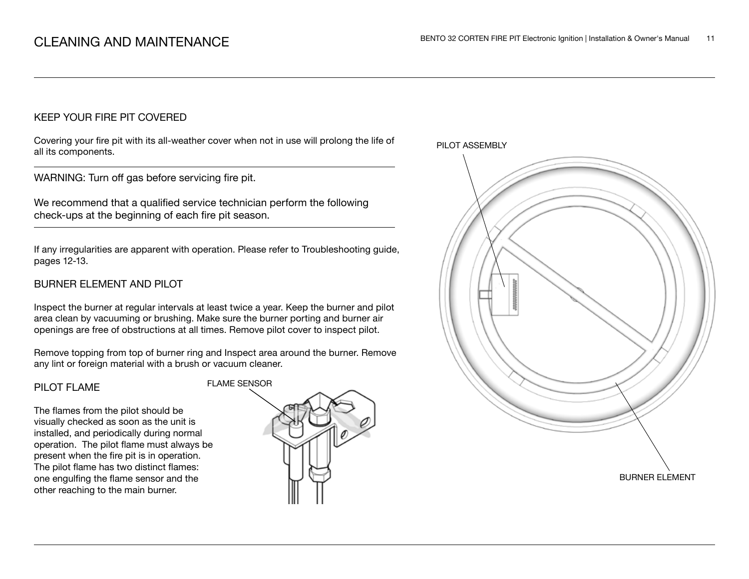## KEEP YOUR FIRE PIT COVERED

Covering your fire pit with its all-weather cover when not in use will prolong the life of all its components.

WARNING: Turn off gas before servicing fire pit.

We recommend that a qualified service technician perform the following check-ups at the beginning of each fire pit season.

If any irregularities are apparent with operation. Please refer to Troubleshooting guide, pages 12-13.

## BURNER ELEMENT AND PILOT

Inspect the burner at regular intervals at least twice a year. Keep the burner and pilot area clean by vacuuming or brushing. Make sure the burner porting and burner air openings are free of obstructions at all times. Remove pilot cover to inspect pilot.

Remove topping from top of burner ring and Inspect area around the burner. Remove any lint or foreign material with a brush or vacuum cleaner.

#### PILOT FLAME

The flames from the pilot should be visually checked as soon as the unit is installed, and periodically during normal operation. The pilot flame must always be present when the fire pit is in operation. The pilot flame has two distinct flames: one engulfing the flame sensor and the other reaching to the main burner.



PILOT ASSEMBLY

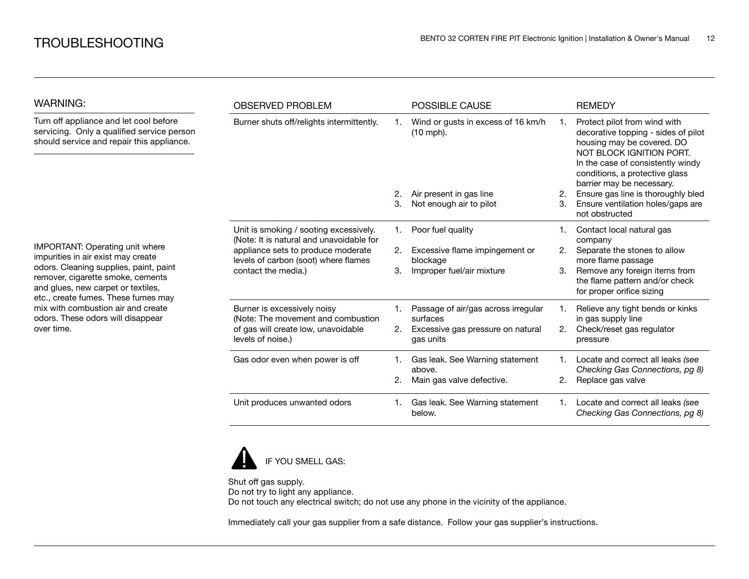| <b>WARNING:</b>                                                                                                                                                                                                                                   | <b>OBSERVED PROBLEM</b>                                                                                                                                                                 |    | <b>POSSIBLE CAUSE</b>                             |    | <b>REMEDY</b>                                                                                                                                                                                                                     |  |
|---------------------------------------------------------------------------------------------------------------------------------------------------------------------------------------------------------------------------------------------------|-----------------------------------------------------------------------------------------------------------------------------------------------------------------------------------------|----|---------------------------------------------------|----|-----------------------------------------------------------------------------------------------------------------------------------------------------------------------------------------------------------------------------------|--|
| Turn off appliance and let cool before<br>servicing. Only a qualified service person<br>should service and repair this appliance.                                                                                                                 | Burner shuts off/relights intermittently.                                                                                                                                               |    | Wind or gusts in excess of 16 km/h<br>$(10$ mph). |    | Protect pilot from wind with<br>decorative topping - sides of pilot<br>housing may be covered. DO<br>NOT BLOCK IGNITION PORT.<br>In the case of consistently windy<br>conditions, a protective glass<br>barrier may be necessary. |  |
|                                                                                                                                                                                                                                                   |                                                                                                                                                                                         | 2. | Air present in gas line                           | 2. | Ensure gas line is thoroughly bled                                                                                                                                                                                                |  |
|                                                                                                                                                                                                                                                   |                                                                                                                                                                                         | 3. | Not enough air to pilot                           | 3. | Ensure ventilation holes/gaps are<br>not obstructed                                                                                                                                                                               |  |
|                                                                                                                                                                                                                                                   | Unit is smoking / sooting excessively.<br>(Note: It is natural and unavoidable for<br>appliance sets to produce moderate<br>levels of carbon (soot) where flames<br>contact the media.) | 1. | Poor fuel quality                                 |    | Contact local natural gas<br>company                                                                                                                                                                                              |  |
| IMPORTANT: Operating unit where<br>impurities in air exist may create                                                                                                                                                                             |                                                                                                                                                                                         | 2. | Excessive flame impingement or<br>blockage        | 2. | Separate the stones to allow<br>more flame passage                                                                                                                                                                                |  |
| odors. Cleaning supplies, paint, paint<br>remover, cigarette smoke, cements<br>and glues, new carpet or textiles,<br>etc., create fumes. These fumes may<br>mix with combustion air and create<br>odors. These odors will disappear<br>over time. |                                                                                                                                                                                         | 3. | Improper fuel/air mixture                         | 3. | Remove any foreign items from<br>the flame pattern and/or check<br>for proper orifice sizing                                                                                                                                      |  |
|                                                                                                                                                                                                                                                   | Burner is excessively noisy<br>(Note: The movement and combustion                                                                                                                       |    | Passage of air/gas across irregular<br>surfaces   |    | Relieve any tight bends or kinks<br>in gas supply line                                                                                                                                                                            |  |
|                                                                                                                                                                                                                                                   | of gas will create low, unavoidable<br>levels of noise.)                                                                                                                                | 2. | Excessive gas pressure on natural<br>gas units    | 2. | Check/reset gas regulator<br>pressure                                                                                                                                                                                             |  |
|                                                                                                                                                                                                                                                   | Gas odor even when power is off                                                                                                                                                         | 1. | Gas leak. See Warning statement<br>above.         |    | Locate and correct all leaks (see<br>Checking Gas Connections, pg 8)                                                                                                                                                              |  |
|                                                                                                                                                                                                                                                   |                                                                                                                                                                                         |    | Main gas valve defective.                         | 2. | Replace gas valve                                                                                                                                                                                                                 |  |
|                                                                                                                                                                                                                                                   | Unit produces unwanted odors                                                                                                                                                            |    | Gas leak. See Warning statement<br>below.         |    | Locate and correct all leaks (see<br>Checking Gas Connections, pg 8)                                                                                                                                                              |  |



Shut off gas supply. Do not try to light any appliance. Do not touch any electrical switch; do not use any phone in the vicinity of the appliance.

Immediately call your gas supplier from a safe distance. Follow your gas supplier's instructions.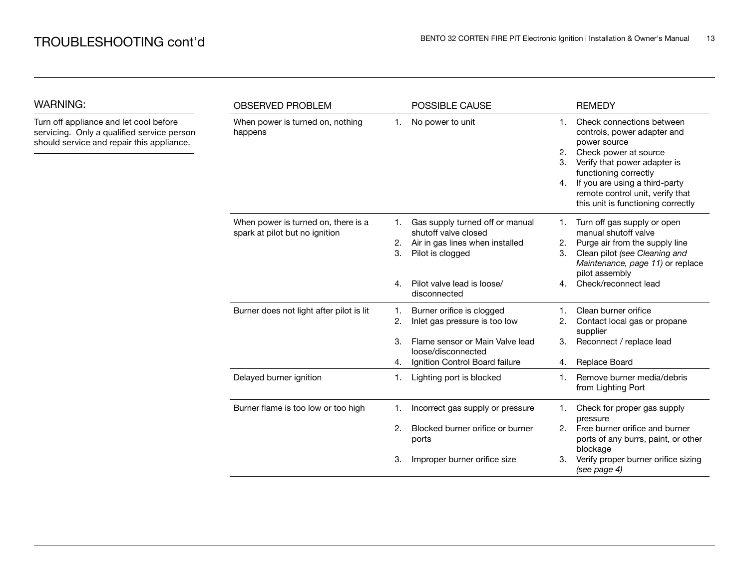WARNING:

| <b>WARNING:</b>                                                                                                                   | <b>OBSERVED PROBLEM</b>                                               |                | POSSIBLE CAUSE                                                                                                 |                                  | <b>REMEDY</b>                                                                                                                                                                                                                                                          |
|-----------------------------------------------------------------------------------------------------------------------------------|-----------------------------------------------------------------------|----------------|----------------------------------------------------------------------------------------------------------------|----------------------------------|------------------------------------------------------------------------------------------------------------------------------------------------------------------------------------------------------------------------------------------------------------------------|
| Turn off appliance and let cool before<br>servicing. Only a qualified service person<br>should service and repair this appliance. | When power is turned on, nothing<br>happens                           | 1.             | No power to unit                                                                                               | $\mathbf{1}$ .<br>2.<br>3.<br>4. | Check connections between<br>controls, power adapter and<br>power source<br>Check power at source<br>Verify that power adapter is<br>functioning correctly<br>If you are using a third-party<br>remote control unit, verify that<br>this unit is functioning correctly |
|                                                                                                                                   | When power is turned on, there is a<br>spark at pilot but no ignition | 1.<br>2.<br>3. | Gas supply turned off or manual<br>shutoff valve closed<br>Air in gas lines when installed<br>Pilot is clogged | 1.<br>2.<br>3.                   | Turn off gas supply or open<br>manual shutoff valve<br>Purge air from the supply line<br>Clean pilot (see Cleaning and<br>Maintenance, page 11) or replace<br>pilot assembly                                                                                           |
|                                                                                                                                   |                                                                       | 4.             | Pilot valve lead is loose/<br>disconnected                                                                     | 4.                               | Check/reconnect lead                                                                                                                                                                                                                                                   |
|                                                                                                                                   | Burner does not light after pilot is lit                              | 1.<br>2.       | Burner orifice is clogged<br>Inlet gas pressure is too low                                                     | 1.<br>2.                         | Clean burner orifice<br>Contact local gas or propane<br>supplier                                                                                                                                                                                                       |
|                                                                                                                                   |                                                                       | 3.<br>4.       | Flame sensor or Main Valve lead<br>loose/disconnected<br>Ignition Control Board failure                        | 3.<br>4.                         | Reconnect / replace lead<br>Replace Board                                                                                                                                                                                                                              |
|                                                                                                                                   | Delayed burner ignition                                               | 1.             | Lighting port is blocked                                                                                       | 1.                               | Remove burner media/debris<br>from Lighting Port                                                                                                                                                                                                                       |
|                                                                                                                                   | Burner flame is too low or too high                                   | 1.             | Incorrect gas supply or pressure                                                                               | 1.                               | Check for proper gas supply<br>pressure                                                                                                                                                                                                                                |
|                                                                                                                                   |                                                                       | 2.             | Blocked burner orifice or burner<br>ports                                                                      | 2.                               | Free burner orifice and burner<br>ports of any burrs, paint, or other<br>blockage                                                                                                                                                                                      |
|                                                                                                                                   |                                                                       | 3.             | Improper burner orifice size                                                                                   | З.                               | Verify proper burner orifice sizing<br>(see page 4)                                                                                                                                                                                                                    |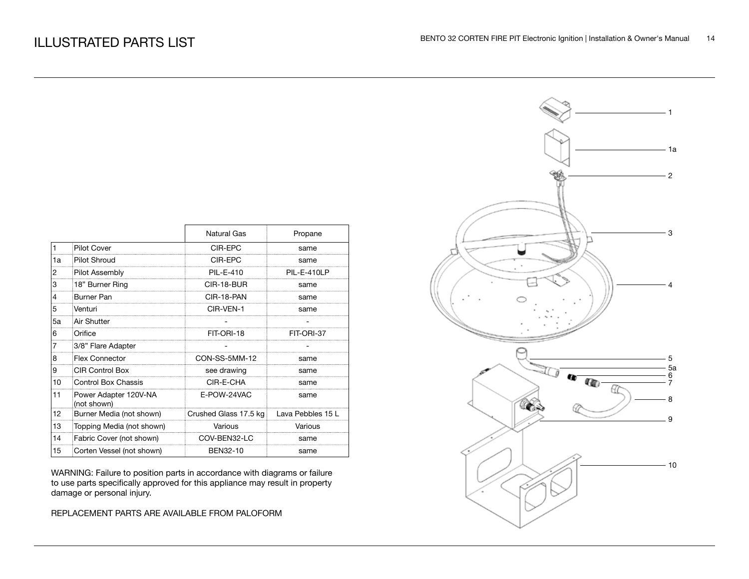|    |                                      | <b>Natural Gas</b>    | Propane           |
|----|--------------------------------------|-----------------------|-------------------|
| 1  | <b>Pilot Cover</b>                   | CIR-EPC               | same              |
| 1a | <b>Pilot Shroud</b>                  | CIR-EPC               | same              |
| 2  | Pilot Assembly                       | <b>PIL-E-410</b>      | PIL-E-410LP       |
| 3  | 18" Burner Ring                      | CIR-18-BUR            | same              |
| 4  | <b>Burner Pan</b>                    | CIR-18-PAN            | same              |
| 5  | Venturi                              | CIR-VEN-1             | same              |
| 5a | Air Shutter                          |                       |                   |
| 6  | Orifice                              | FIT-ORI-18            | FIT-ORI-37        |
|    | 3/8" Flare Adapter                   |                       |                   |
| 8  | Flex Connector                       | CON-SS-5MM-12         | same              |
| 9  | <b>CIR Control Box</b>               | see drawing           | same              |
| 10 | <b>Control Box Chassis</b>           | CIR-E-CHA             | same              |
| 11 | Power Adapter 120V-NA<br>(not shown) | E-POW-24VAC           | same              |
| 12 | Burner Media (not shown)             | Crushed Glass 17.5 kg | Lava Pebbles 15 L |
| 13 | Topping Media (not shown)            | Various               | Various           |
| 14 | Fabric Cover (not shown)             | COV-BEN32-LC          | same              |
| 15 | Corten Vessel (not shown)            | BEN32-10              | same              |

WARNING: Failure to position parts in accordance with diagrams or failure to use parts specifically approved for this appliance may result in property damage or personal injury.

REPLACEMENT PARTS ARE AVAILABLE FROM PALOFORM

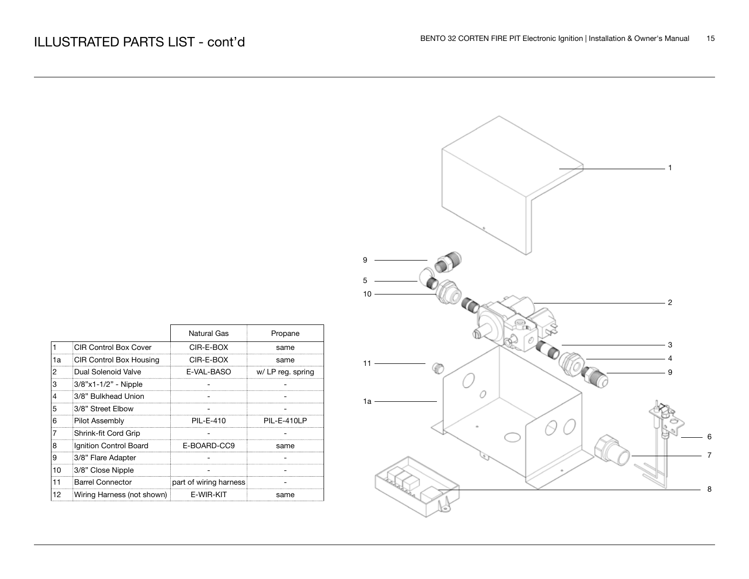|                         |                            | Natural Gas            | Propane           |
|-------------------------|----------------------------|------------------------|-------------------|
| $\vert$ 1               | CIR Control Box Cover      | CIR-E-BOX              | same              |
| 1a                      | CIR Control Box Housing    | CIR-E-BOX              | same              |
| $\overline{2}$          | Dual Solenoid Valve        | E-VAL-BASO             | w/ LP reg. spring |
| 3                       | 3/8"x1-1/2" - Nipple       |                        |                   |
| $\overline{\mathbf{4}}$ | 3/8" Bulkhead Union        |                        |                   |
| 5                       | 3/8" Street Elbow          |                        |                   |
| 6                       | Pilot Assembly             | PIL-E-410              | PIL-E-410LP       |
| 17                      | Shrink-fit Cord Grip       |                        |                   |
| 8                       | Ignition Control Board     | E-BOARD-CC9            | same              |
| 9                       | 3/8" Flare Adapter         |                        |                   |
| 10                      | 3/8" Close Nipple          |                        |                   |
| 11                      | <b>Barrel Connector</b>    | part of wiring harness |                   |
| 12                      | Wiring Harness (not shown) | E-WIR-KIT              | same              |

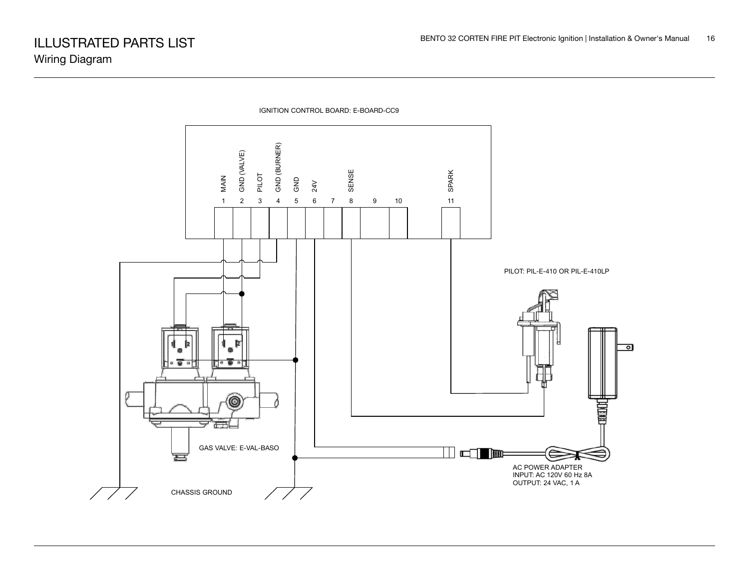

IGNITION CONTROL BOARD: E-BOARD-CC9